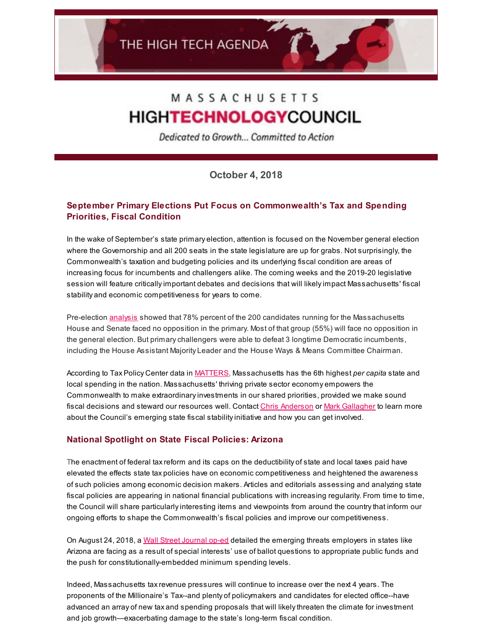# MASSACHUSETTS **HIGHTECHNOLOGYCOUNCIL**

Dedicated to Growth... Committed to Action

**October 4, 2018**

## **September Primary Elections Put Focus on Commonwealth's Tax and Spending Priorities, Fiscal Condition**

In the wake of September's state primary election, attention is focused on the November general election where the Governorship and all 200 seats in the state legislature are up for grabs. Not surprisingly, the Commonwealth's taxation and budgeting policies and its underlying fiscal condition are areas of increasing focus for incumbents and challengers alike. The coming weeks and the 2019-20 legislative session will feature criticallyimportant debates and decisions that will likelyimpact Massachusetts' fiscal stability and economic competitiveness for years to come.

Pre-election [analysis](https://massinc.org/2018/08/13/two-candidates-bucking-the-incumbents-rule-rule/) showed that 78% percent of the 200 candidates running for the Massachusetts House and Senate faced no opposition in the primary. Most of that group (55%) will face no opposition in the general election. But primarychallengers were able to defeat 3 longtime Democratic incumbents, including the House Assistant Majority Leader and the House Ways & Means Committee Chairman.

According to Tax Policy Center data in [MATTERS](http://matters.mhtc.org/), Massachusetts has the 6th highest *per capita* state and local spending in the nation. Massachusetts' thriving private sector economy empowers the Commonwealth to make extraordinaryinvestments in our shared priorities, provided we make sound fiscal decisions and steward our resources well. Contact Chris [Anderson](mailto:chris@mhtc.org) or Mark [Gallagher](mailto:mark@mhtc.org) to learn more about the Council's emerging state fiscal stabilityinitiative and how you can get involved.

### **National Spotlight on State Fiscal Policies: Arizona**

The enactment of federal taxreform and its caps on the deductibility of state and local taxes paid have elevated the effects state tax policies have on economic competitiveness and heightened the awareness of such policies among economic decision makers. Articles and editorials assessing and analyzing state fiscal policies are appearing in national financial publications with increasing regularity. From time to time, the Council will share particularlyinteresting items and viewpoints from around the countrythat inform our ongoing efforts to shape the Commonwealth's fiscal policies and improve our competitiveness.

On August 24, 2018, a Wall Street [Journal](http://www.mhtc.org/wp-content/uploads/2018/10/WSJ-Turning-AZ-Into-NJ-8.24.18.pdf) op-ed detailed the emerging threats employers in states like Arizona are facing as a result of special interests' use of ballot questions to appropriate public funds and the push for constitutionally-embedded minimum spending levels.

Indeed, Massachusetts taxrevenue pressures will continue to increase over the next 4 years. The proponents of the Millionaire's Tax--and plenty of policymakers and candidates for elected office--have advanced an array of new tax and spending proposals that will likelythreaten the climate for investment and job growth—exacerbating damage to the state's long-term fiscal condition.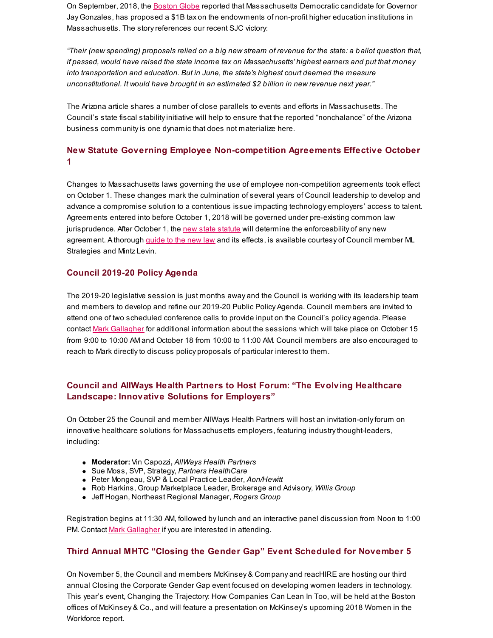On September, 2018, the [Boston](https://www.bostonglobe.com/metro/2018/09/18/gonzalez-revenue-plan-would-tax-state-major-colleges-and-universities/Qq6cKSSFJ2IYSXD0aCo6ZO/story.html?s_campaign=breakingnews:newsletter) Globe reported that Massachusetts Democratic candidate for Governor Jay Gonzales, has proposed a \$1B tax on the endowments of non-profit higher education institutions in Massachusetts. The story references our recent SJC victory:

"Their (new spending) proposals relied on a big new stream of revenue for the state: a ballot question that, *if passed, would have raised the state income tax on Massachusetts' highest earners and put that money into transportation and education. But in June, the state's highest court deemed the measure unconstitutional. It would have brought in an estimated \$2 billion in new revenue next year."*

The Arizona article shares a number of close parallels to events and efforts in Massachusetts. The Council's state fiscal stabilityinitiative will help to ensure that the reported "nonchalance" of the Arizona business communityis one dynamic that does not materialize here.

## **New Statute Governing Employee Non-competition Agreements Effective October 1**

Changes to Massachusetts laws governing the use of employee non-competition agreements took effect on October 1. These changes mark the culmination of several years of Council leadership to develop and advance a compromise solution to a contentious issue impacting technology employers' access to talent. Agreements entered into before October 1, 2018 will be governed under pre-existing common law jurisprudence. After October 1, the new state [statute](https://malegislature.gov/Laws/SessionLaws/Acts/2018/Chapter228) will determine the enforceability of any new agreement. A thorough [guide](https://www.mintz.com/insights-center/viewpoints/2018-08-new-massachusetts-non-compete-law-goes-effect-october-1-2018) to the new law and its effects, is available courtesy of Council member ML Strategies and Mintz Levin.

#### **Council 2019-20 Policy Agenda**

The 2019-20 legislative session is just months away and the Council is working with its leadership team and members to develop and refine our 2019-20 Public Policy Agenda. Council members are invited to attend one of two scheduled conference calls to provide input on the Council's policy agenda. Please contact Mark [Gallagher](mailto:mark@mhtc.org) for additional information about the sessions which will take place on October 15 from 9:00 to 10:00 AM and October 18 from 10:00 to 11:00 AM. Council members are also encouraged to reach to Mark directlyto discuss policy proposals of particular interest to them.

## **Council and AllWays Health Partners to Host Forum: "The Evolving Healthcare Landscape: Innovative Solutions for Employers"**

On October 25 the Council and member AllWays Health Partners will host an invitation-onlyforum on innovative healthcare solutions for Massachusetts employers, featuring industrythought-leaders, including:

- **Moderator:** Vin Capozzi**,** *AllWays Health Partners*
- Sue Moss, SVP, Strategy, *Partners HealthCare*
- Peter Mongeau, SVP & Local Practice Leader, *Aon/Hewitt*
- Rob Harkins, Group Marketplace Leader, Brokerage and Advisory, *Willis Group*
- Jeff Hogan, Northeast Regional Manager, *Rogers Group*

Registration begins at 11:30 AM, followed bylunch and an interactive panel discussion from Noon to 1:00 PM. Contact Mark [Gallagher](mailto:mark@mhtc.org) if you are interested in attending.

## **Third Annual MHTC "Closing the Gender Gap" Event Scheduled for November 5**

On November 5, the Council and members McKinsey & Company and reacHIRE are hosting our third annual Closing the Corporate Gender Gap event focused on developing women leaders in technology. This year's event, Changing the Trajectory: How Companies Can Lean In Too, will be held at the Boston offices of McKinsey & Co., and will feature a presentation on McKinsey's upcoming 2018 Women in the Workforce report.